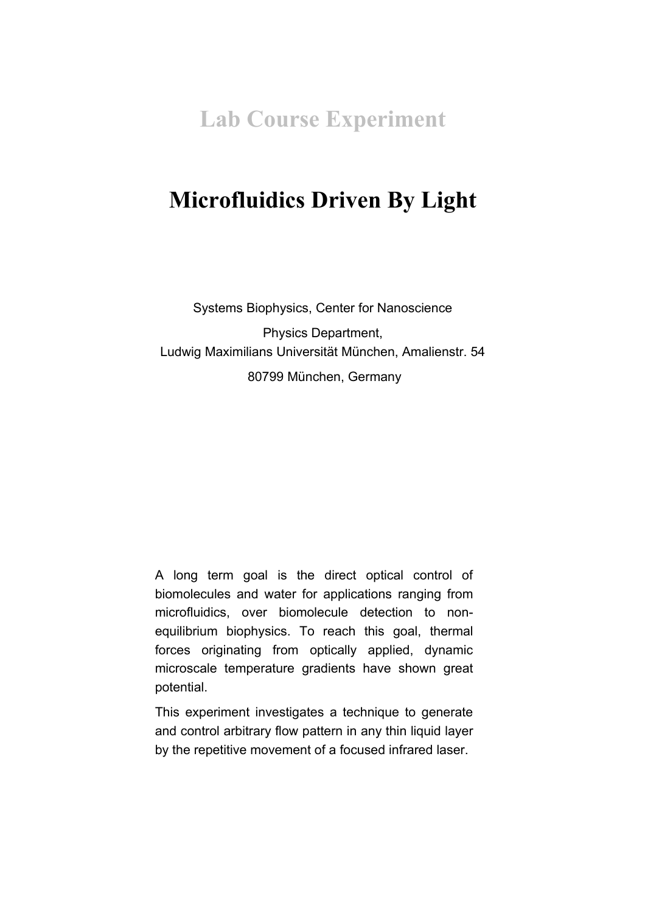**Lab Course Experiment**

# **Microfluidics Driven By Light**

Systems Biophysics, Center for Nanoscience Physics Department, Ludwig Maximilians Universität München, Amalienstr. 54 80799 München, Germany

A long term goal is the direct optical control of biomolecules and water for applications ranging from microfluidics, over biomolecule detection to nonequilibrium biophysics. To reach this goal, thermal forces originating from optically applied, dynamic microscale temperature gradients have shown great potential.

This experiment investigates a technique to generate and control arbitrary flow pattern in any thin liquid layer by the repetitive movement of a focused infrared laser.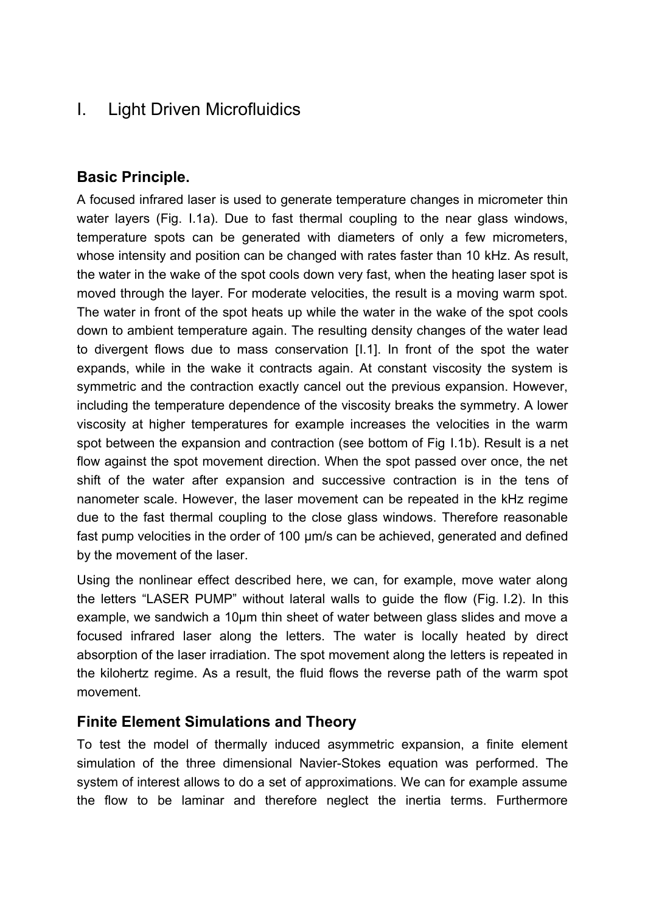# I. Light Driven Microfluidics

### **Basic Principle.**

A focused infrared laser is used to generate temperature changes in micrometer thin water layers (Fig. [I.1a](#page-3-0)). Due to fast thermal coupling to the near glass windows, temperature spots can be generated with diameters of only a few micrometers, whose intensity and position can be changed with rates faster than 10 kHz. As result, the water in the wake of the spot cools down very fast, when the heating laser spot is moved through the layer. For moderate velocities, the result is a moving warm spot. The water in front of the spot heats up while the water in the wake of the spot cools down to ambient temperature again. The resulting density changes of the water lead to divergent flows due to mass conservation [\[I.1\]](#page-14-0). In front of the spot the water expands, while in the wake it contracts again. At constant viscosity the system is symmetric and the contraction exactly cancel out the previous expansion. However, including the temperature dependence of the viscosity breaks the symmetry. A lower viscosity at higher temperatures for example increases the velocities in the warm spot between the expansion and contraction (see bottom of Fig [I.1b](#page-3-0)). Result is a net flow against the spot movement direction. When the spot passed over once, the net shift of the water after expansion and successive contraction is in the tens of nanometer scale. However, the laser movement can be repeated in the kHz regime due to the fast thermal coupling to the close glass windows. Therefore reasonable fast pump velocities in the order of 100 µm/s can be achieved, generated and defined by the movement of the laser.

Using the nonlinear effect described here, we can, for example, move water along the letters "LASER PUMP" without lateral walls to guide the flow (Fig. [I.2\)](#page-4-0). In this example, we sandwich a 10µm thin sheet of water between glass slides and move a focused infrared laser along the letters. The water is locally heated by direct absorption of the laser irradiation. The spot movement along the letters is repeated in the kilohertz regime. As a result, the fluid flows the reverse path of the warm spot movement.

### **Finite Element Simulations and Theory**

To test the model of thermally induced asymmetric expansion, a finite element simulation of the three dimensional Navier-Stokes equation was performed. The system of interest allows to do a set of approximations. We can for example assume the flow to be laminar and therefore neglect the inertia terms. Furthermore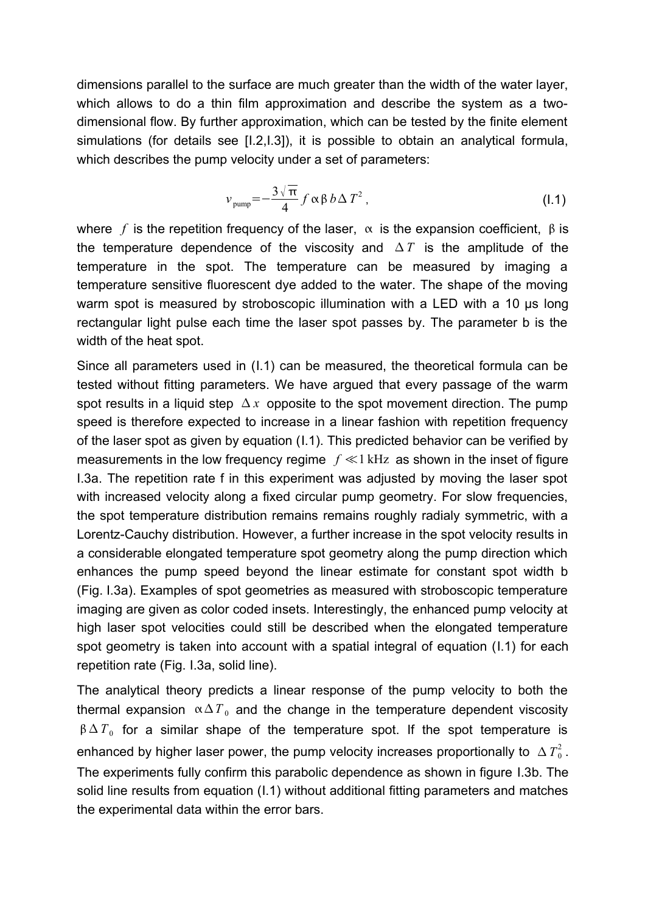dimensions parallel to the surface are much greater than the width of the water layer, which allows to do a thin film approximation and describe the system as a twodimensional flow. By further approximation, which can be tested by the finite element simulations (for details see [\[I.2](#page-14-2), I.3]), it is possible to obtain an analytical formula, which describes the pump velocity under a set of parameters:

<span id="page-2-0"></span>
$$
v_{\text{pump}} = -\frac{3\sqrt{\pi}}{4} f \alpha \beta b \Delta T^2 , \qquad (1.1)
$$

where  $f$  is the repetition frequency of the laser,  $\alpha$  is the expansion coefficient,  $\beta$  is the temperature dependence of the viscosity and  $\Delta T$  is the amplitude of the temperature in the spot. The temperature can be measured by imaging a temperature sensitive fluorescent dye added to the water. The shape of the moving warm spot is measured by stroboscopic illumination with a LED with a 10 us long rectangular light pulse each time the laser spot passes by. The parameter b is the width of the heat spot.

Since all parameters used in [\(I.1\)](#page-2-0) can be measured, the theoretical formula can be tested without fitting parameters. We have argued that every passage of the warm spot results in a liquid step  $\Delta x$  opposite to the spot movement direction. The pump speed is therefore expected to increase in a linear fashion with repetition frequency of the laser spot as given by equation [\(I.1\)](#page-2-0). This predicted behavior can be verified by measurements in the low frequency regime *f* ≪1 kHz as shown in the inset of figure [I.3a](#page-6-0). The repetition rate f in this experiment was adjusted by moving the laser spot with increased velocity along a fixed circular pump geometry. For slow frequencies, the spot temperature distribution remains remains roughly radialy symmetric, with a Lorentz-Cauchy distribution. However, a further increase in the spot velocity results in a considerable elongated temperature spot geometry along the pump direction which enhances the pump speed beyond the linear estimate for constant spot width b (Fig. [I.3a](#page-6-0)). Examples of spot geometries as measured with stroboscopic temperature imaging are given as color coded insets. Interestingly, the enhanced pump velocity at high laser spot velocities could still be described when the elongated temperature spot geometry is taken into account with a spatial integral of equation ([I.1\)](#page-2-0) for each repetition rate (Fig. [I.3a](#page-6-0), solid line).

The analytical theory predicts a linear response of the pump velocity to both the thermal expansion  $\alpha \Delta T_0$  and the change in the temperature dependent viscosity  $\beta \Delta T_0$  for a similar shape of the temperature spot. If the spot temperature is enhanced by higher laser power, the pump velocity increases proportionally to  $\Delta\,T_{\rm 0}^2$  . The experiments fully confirm this parabolic dependence as shown in figure [I.3b](#page-6-0). The solid line results from equation [\(I.1\)](#page-2-0) without additional fitting parameters and matches the experimental data within the error bars.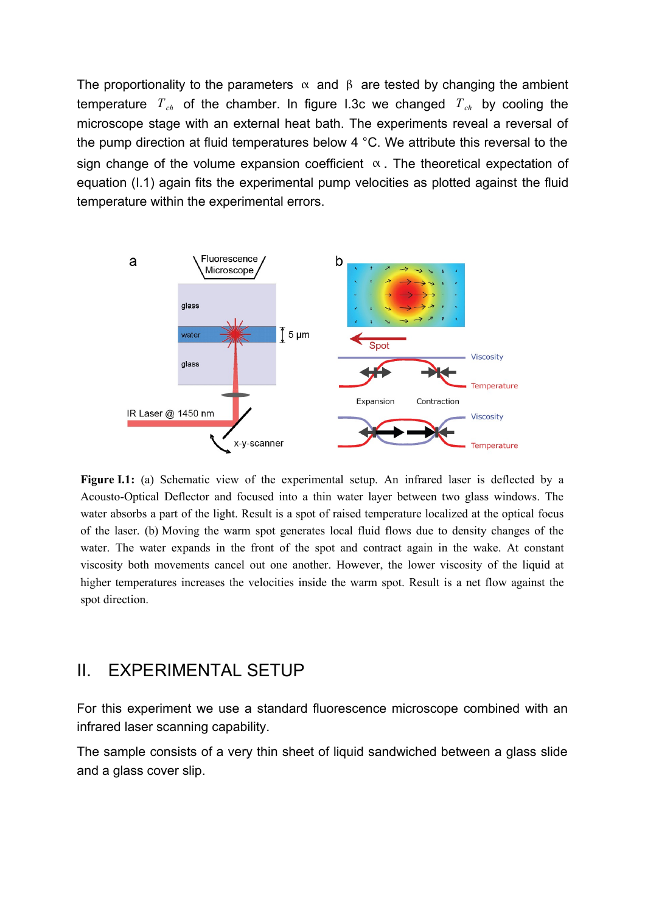The proportionality to the parameters  $\alpha$  and  $\beta$  are tested by changing the ambient temperature  $T_{ch}$  of the chamber. In figure 1.3c we changed  $T_{ch}$  by cooling the microscope stage with an external heat bath. The experiments reveal a reversal of the pump direction at fluid temperatures below 4 °C. We attribute this reversal to the sign change of the volume expansion coefficient  $\alpha$ . The theoretical expectation of equation [\(I.1\)](#page-2-0) again fits the experimental pump velocities as plotted against the fluid temperature within the experimental errors.



<span id="page-3-0"></span>**Figure I.1:** (a) Schematic view of the experimental setup. An infrared laser is deflected by a Acousto-Optical Deflector and focused into a thin water layer between two glass windows. The water absorbs a part of the light. Result is a spot of raised temperature localized at the optical focus of the laser. (b) Moving the warm spot generates local fluid flows due to density changes of the water. The water expands in the front of the spot and contract again in the wake. At constant viscosity both movements cancel out one another. However, the lower viscosity of the liquid at higher temperatures increases the velocities inside the warm spot. Result is a net flow against the spot direction.

### II. EXPERIMENTAL SETUP

For this experiment we use a standard fluorescence microscope combined with an infrared laser scanning capability.

The sample consists of a very thin sheet of liquid sandwiched between a glass slide and a glass cover slip.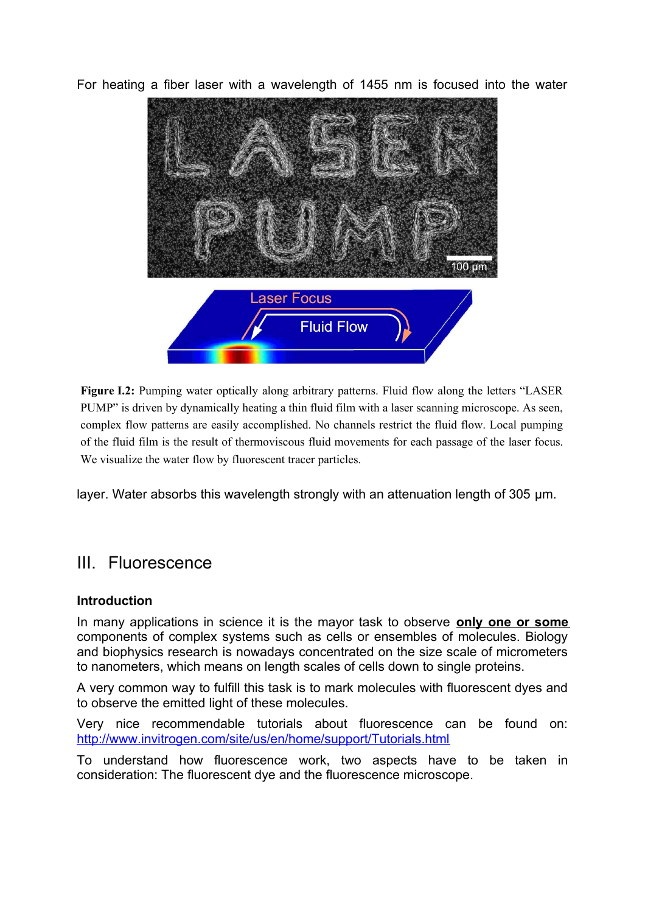For heating a fiber laser with a wavelength of 1455 nm is focused into the water



<span id="page-4-0"></span>**Figure I.2:** Pumping water optically along arbitrary patterns. Fluid flow along the letters "LASER" PUMP" is driven by dynamically heating a thin fluid film with a laser scanning microscope. As seen, complex flow patterns are easily accomplished. No channels restrict the fluid flow. Local pumping of the fluid film is the result of thermoviscous fluid movements for each passage of the laser focus. We visualize the water flow by fluorescent tracer particles.

layer. Water absorbs this wavelength strongly with an attenuation length of 305 µm.

## III. Fluorescence

#### **Introduction**

In many applications in science it is the mayor task to observe **only one or some** components of complex systems such as cells or ensembles of molecules. Biology and biophysics research is nowadays concentrated on the size scale of micrometers to nanometers, which means on length scales of cells down to single proteins.

A very common way to fulfill this task is to mark molecules with fluorescent dyes and to observe the emitted light of these molecules.

Very nice recommendable tutorials about fluorescence can be found on: <http://www.invitrogen.com/site/us/en/home/support/Tutorials.html>

To understand how fluorescence work, two aspects have to be taken in consideration: The fluorescent dye and the fluorescence microscope.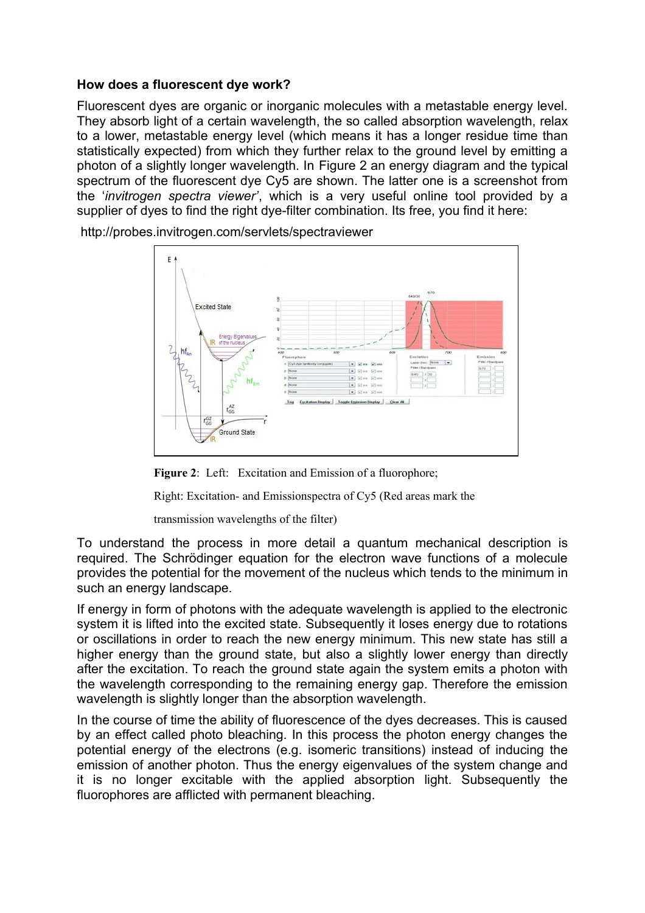#### **How does a fluorescent dye work?**

Fluorescent dyes are organic or inorganic molecules with a metastable energy level. They absorb light of a certain wavelength, the so called absorption wavelength, relax to a lower, metastable energy level (which means it has a longer residue time than statistically expected) from which they further relax to the ground level by emitting a photon of a slightly longer wavelength. In Figure 2 an energy diagram and the typical spectrum of the fluorescent dye Cy5 are shown. The latter one is a screenshot from the '*invitrogen spectra viewer'*, which is a very useful online tool provided by a supplier of dyes to find the right dye-filter combination. Its free, you find it here:



http://probes.invitrogen.com/servlets/spectraviewer

Figure 2: Left: Excitation and Emission of a fluorophore;

Right: Excitation- and Emissionspectra of Cy5 (Red areas mark the

transmission wavelengths of the filter)

To understand the process in more detail a quantum mechanical description is required. The Schrödinger equation for the electron wave functions of a molecule provides the potential for the movement of the nucleus which tends to the minimum in such an energy landscape.

If energy in form of photons with the adequate wavelength is applied to the electronic system it is lifted into the excited state. Subsequently it loses energy due to rotations or oscillations in order to reach the new energy minimum. This new state has still a higher energy than the ground state, but also a slightly lower energy than directly after the excitation. To reach the ground state again the system emits a photon with the wavelength corresponding to the remaining energy gap. Therefore the emission wavelength is slightly longer than the absorption wavelength.

In the course of time the ability of fluorescence of the dyes decreases. This is caused by an effect called photo bleaching. In this process the photon energy changes the potential energy of the electrons (e.g. isomeric transitions) instead of inducing the emission of another photon. Thus the energy eigenvalues of the system change and it is no longer excitable with the applied absorption light. Subsequently the fluorophores are afflicted with permanent bleaching.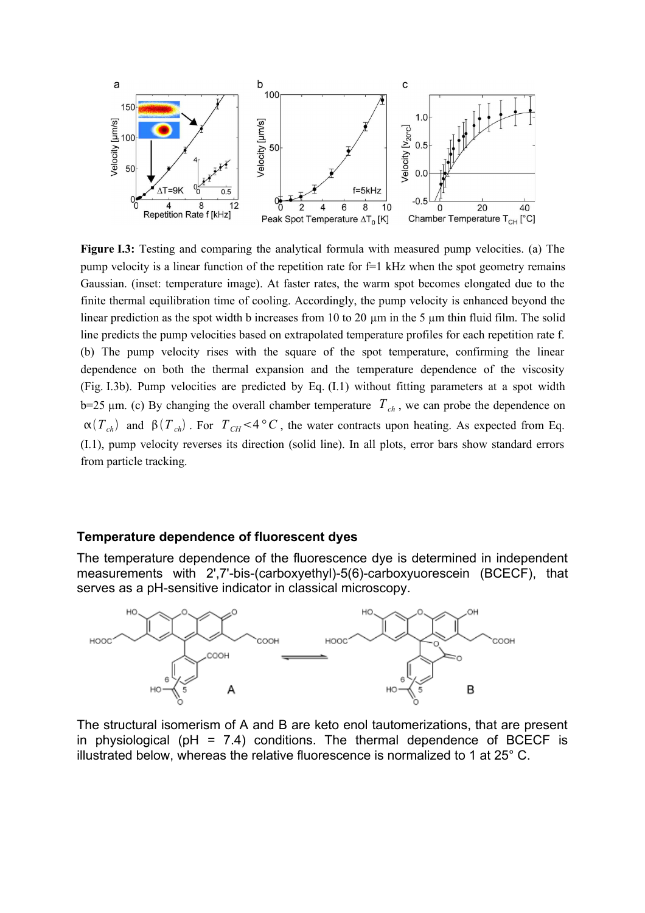

<span id="page-6-0"></span>**Figure I.3:** Testing and comparing the analytical formula with measured pump velocities. (a) The pump velocity is a linear function of the repetition rate for  $f=1$  kHz when the spot geometry remains Gaussian. (inset: temperature image). At faster rates, the warm spot becomes elongated due to the finite thermal equilibration time of cooling. Accordingly, the pump velocity is enhanced beyond the linear prediction as the spot width b increases from 10 to 20  $\mu$ m in the 5  $\mu$ m thin fluid film. The solid line predicts the pump velocities based on extrapolated temperature profiles for each repetition rate f. (b) The pump velocity rises with the square of the spot temperature, confirming the linear dependence on both the thermal expansion and the temperature dependence of the viscosity (Fig. [I.3b](#page-6-0)). Pump velocities are predicted by Eq. [\(I.1\)](#page-2-0) without fitting parameters at a spot width  $b=25 \mu m$ . (c) By changing the overall chamber temperature  $T_{ch}$ , we can probe the dependence on  $\alpha(T_{ch})$  and  $\beta(T_{ch})$ . For  $T_{CH}$  <4 ° *C*, the water contracts upon heating. As expected from Eq. [\(I.1\)](#page-2-0), pump velocity reverses its direction (solid line). In all plots, error bars show standard errors from particle tracking.

#### **Temperature dependence of fluorescent dyes**

The temperature dependence of the fluorescence dye is determined in independent measurements with 2',7'-bis-(carboxyethyl)-5(6)-carboxyuorescein (BCECF), that serves as a pH-sensitive indicator in classical microscopy.



The structural isomerism of A and B are keto enol tautomerizations, that are present in physiological ( $pH = 7.4$ ) conditions. The thermal dependence of BCECF is illustrated below, whereas the relative fluorescence is normalized to 1 at 25° C.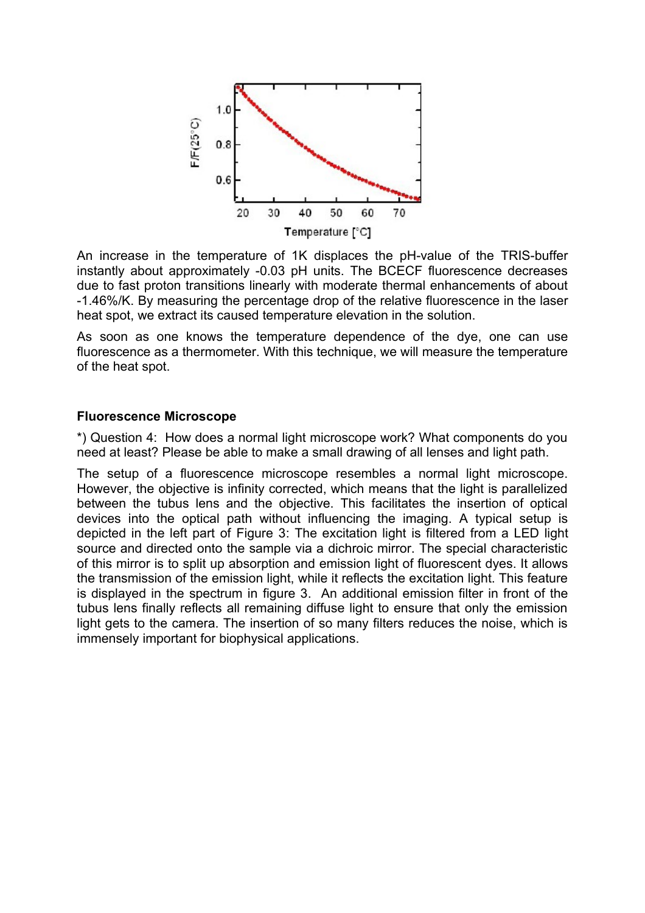

An increase in the temperature of 1K displaces the pH-value of the TRIS-buffer instantly about approximately -0.03 pH units. The BCECF fluorescence decreases due to fast proton transitions linearly with moderate thermal enhancements of about -1.46%/K. By measuring the percentage drop of the relative fluorescence in the laser heat spot, we extract its caused temperature elevation in the solution.

As soon as one knows the temperature dependence of the dye, one can use fluorescence as a thermometer. With this technique, we will measure the temperature of the heat spot.

#### **Fluorescence Microscope**

\*) Question 4: How does a normal light microscope work? What components do you need at least? Please be able to make a small drawing of all lenses and light path.

The setup of a fluorescence microscope resembles a normal light microscope. However, the objective is infinity corrected, which means that the light is parallelized between the tubus lens and the objective. This facilitates the insertion of optical devices into the optical path without influencing the imaging. A typical setup is depicted in the left part of Figure 3: The excitation light is filtered from a LED light source and directed onto the sample via a dichroic mirror. The special characteristic of this mirror is to split up absorption and emission light of fluorescent dyes. It allows the transmission of the emission light, while it reflects the excitation light. This feature is displayed in the spectrum in figure 3. An additional emission filter in front of the tubus lens finally reflects all remaining diffuse light to ensure that only the emission light gets to the camera. The insertion of so many filters reduces the noise, which is immensely important for biophysical applications.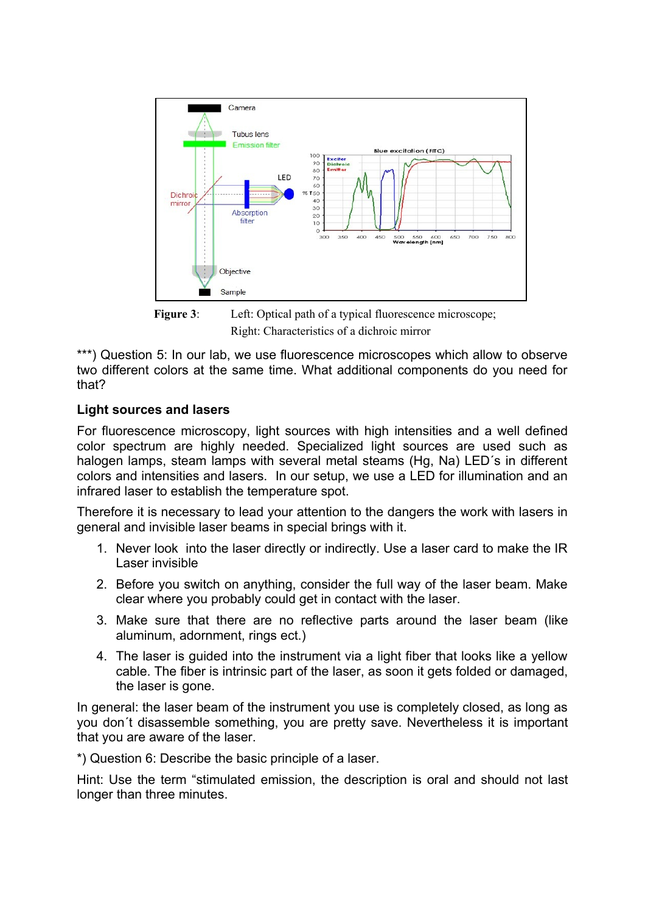

**Figure 3:** Left: Optical path of a typical fluorescence microscope; Right: Characteristics of a dichroic mirror

\*\*\*) Question 5: In our lab, we use fluorescence microscopes which allow to observe two different colors at the same time. What additional components do you need for that?

#### **Light sources and lasers**

For fluorescence microscopy, light sources with high intensities and a well defined color spectrum are highly needed. Specialized light sources are used such as halogen lamps, steam lamps with several metal steams (Hg, Na) LED´s in different colors and intensities and lasers. In our setup, we use a LED for illumination and an infrared laser to establish the temperature spot.

Therefore it is necessary to lead your attention to the dangers the work with lasers in general and invisible laser beams in special brings with it.

- 1. Never look into the laser directly or indirectly. Use a laser card to make the IR Laser invisible
- 2. Before you switch on anything, consider the full way of the laser beam. Make clear where you probably could get in contact with the laser.
- 3. Make sure that there are no reflective parts around the laser beam (like aluminum, adornment, rings ect.)
- 4. The laser is guided into the instrument via a light fiber that looks like a yellow cable. The fiber is intrinsic part of the laser, as soon it gets folded or damaged, the laser is gone.

In general: the laser beam of the instrument you use is completely closed, as long as you don´t disassemble something, you are pretty save. Nevertheless it is important that you are aware of the laser.

\*) Question 6: Describe the basic principle of a laser.

Hint: Use the term "stimulated emission, the description is oral and should not last longer than three minutes.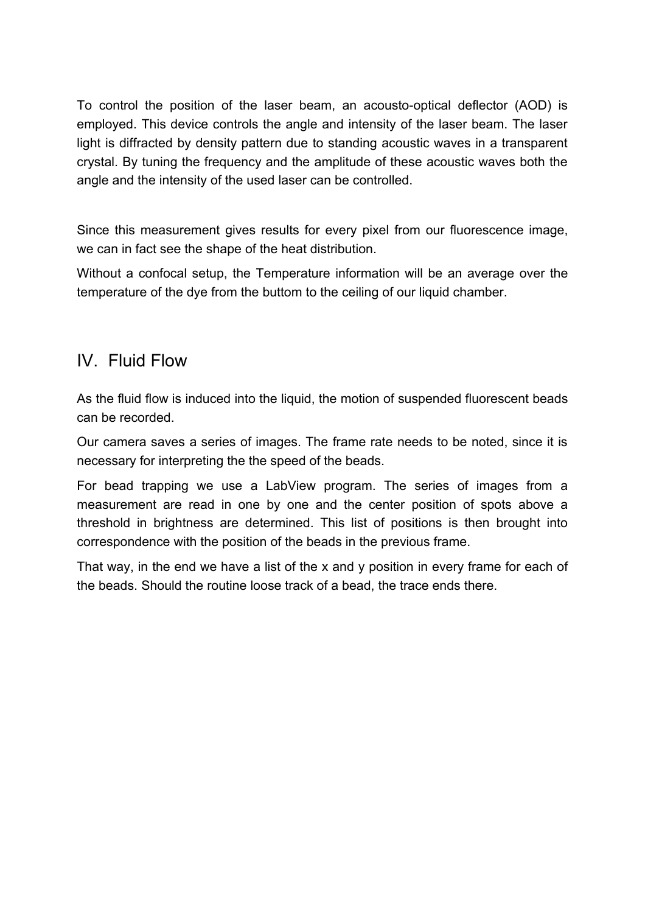To control the position of the laser beam, an acousto-optical deflector (AOD) is employed. This device controls the angle and intensity of the laser beam. The laser light is diffracted by density pattern due to standing acoustic waves in a transparent crystal. By tuning the frequency and the amplitude of these acoustic waves both the angle and the intensity of the used laser can be controlled.

Since this measurement gives results for every pixel from our fluorescence image, we can in fact see the shape of the heat distribution.

Without a confocal setup, the Temperature information will be an average over the temperature of the dye from the buttom to the ceiling of our liquid chamber.

## IV. Fluid Flow

As the fluid flow is induced into the liquid, the motion of suspended fluorescent beads can be recorded.

Our camera saves a series of images. The frame rate needs to be noted, since it is necessary for interpreting the the speed of the beads.

For bead trapping we use a LabView program. The series of images from a measurement are read in one by one and the center position of spots above a threshold in brightness are determined. This list of positions is then brought into correspondence with the position of the beads in the previous frame.

That way, in the end we have a list of the x and y position in every frame for each of the beads. Should the routine loose track of a bead, the trace ends there.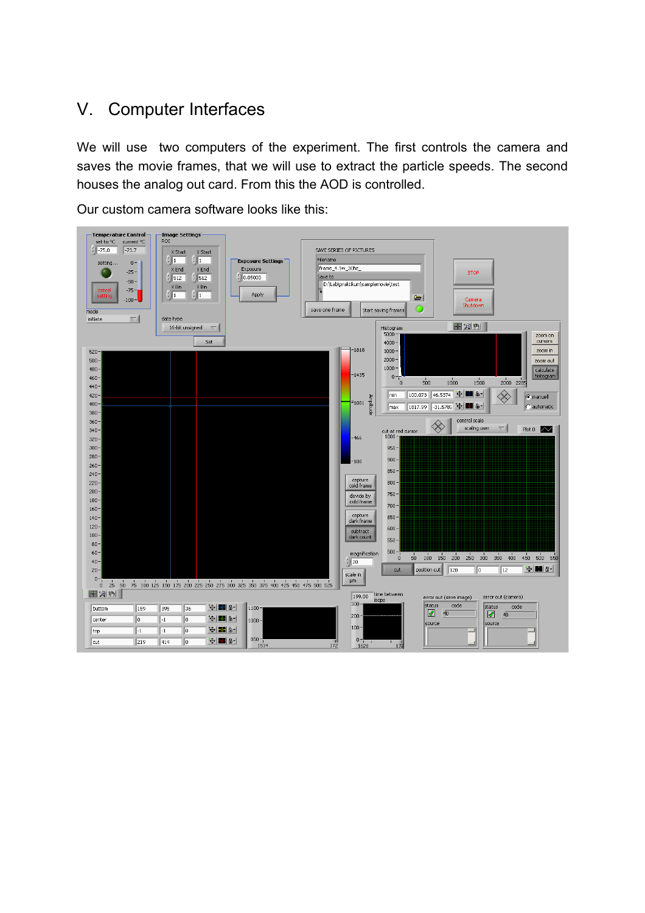# V. Computer Interfaces

We will use two computers of the experiment. The first controls the camera and saves the movie frames, that we will use to extract the particle speeds. The second houses the analog out card. From this the AOD is controlled.

Our custom camera software looks like this:

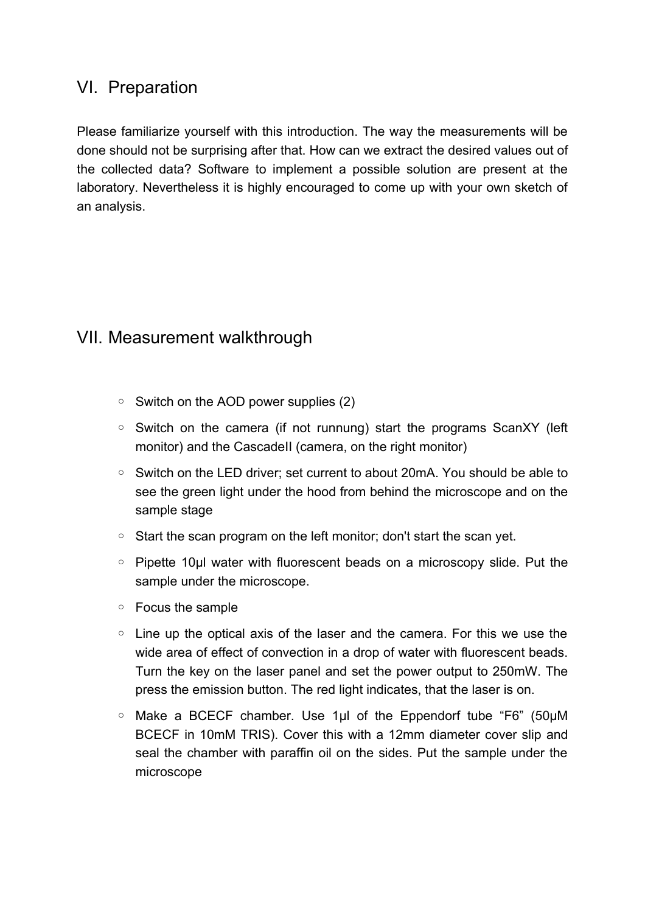### VI. Preparation

Please familiarize yourself with this introduction. The way the measurements will be done should not be surprising after that. How can we extract the desired values out of the collected data? Software to implement a possible solution are present at the laboratory. Nevertheless it is highly encouraged to come up with your own sketch of an analysis.

# VII. Measurement walkthrough

- Switch on the AOD power supplies (2)
- Switch on the camera (if not runnung) start the programs ScanXY (left monitor) and the CascadeII (camera, on the right monitor)
- Switch on the LED driver; set current to about 20mA. You should be able to see the green light under the hood from behind the microscope and on the sample stage
- Start the scan program on the left monitor; don't start the scan yet.
- Pipette 10µl water with fluorescent beads on a microscopy slide. Put the sample under the microscope.
- Focus the sample
- Line up the optical axis of the laser and the camera. For this we use the wide area of effect of convection in a drop of water with fluorescent beads. Turn the key on the laser panel and set the power output to 250mW. The press the emission button. The red light indicates, that the laser is on.
- Make a BCECF chamber. Use 1µl of the Eppendorf tube "F6" (50µM BCECF in 10mM TRIS). Cover this with a 12mm diameter cover slip and seal the chamber with paraffin oil on the sides. Put the sample under the microscope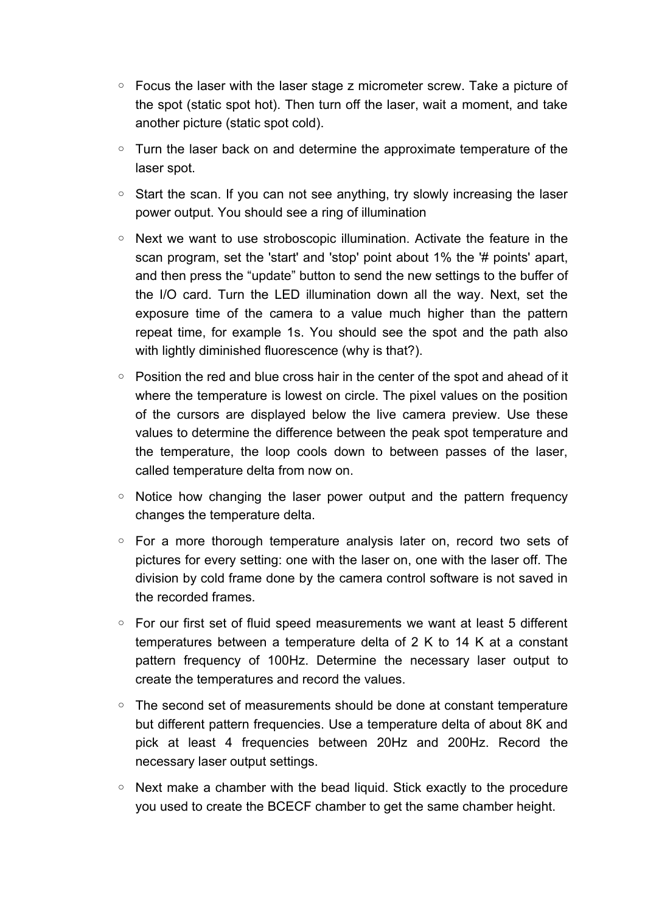- Focus the laser with the laser stage z micrometer screw. Take a picture of the spot (static spot hot). Then turn off the laser, wait a moment, and take another picture (static spot cold).
- Turn the laser back on and determine the approximate temperature of the laser spot.
- Start the scan. If you can not see anything, try slowly increasing the laser power output. You should see a ring of illumination
- Next we want to use stroboscopic illumination. Activate the feature in the scan program, set the 'start' and 'stop' point about 1% the '# points' apart, and then press the "update" button to send the new settings to the buffer of the I/O card. Turn the LED illumination down all the way. Next, set the exposure time of the camera to a value much higher than the pattern repeat time, for example 1s. You should see the spot and the path also with lightly diminished fluorescence (why is that?).
- Position the red and blue cross hair in the center of the spot and ahead of it where the temperature is lowest on circle. The pixel values on the position of the cursors are displayed below the live camera preview. Use these values to determine the difference between the peak spot temperature and the temperature, the loop cools down to between passes of the laser, called temperature delta from now on.
- Notice how changing the laser power output and the pattern frequency changes the temperature delta.
- For a more thorough temperature analysis later on, record two sets of pictures for every setting: one with the laser on, one with the laser off. The division by cold frame done by the camera control software is not saved in the recorded frames.
- For our first set of fluid speed measurements we want at least 5 different temperatures between a temperature delta of 2 K to 14 K at a constant pattern frequency of 100Hz. Determine the necessary laser output to create the temperatures and record the values.
- The second set of measurements should be done at constant temperature but different pattern frequencies. Use a temperature delta of about 8K and pick at least 4 frequencies between 20Hz and 200Hz. Record the necessary laser output settings.
- Next make a chamber with the bead liquid. Stick exactly to the procedure you used to create the BCECF chamber to get the same chamber height.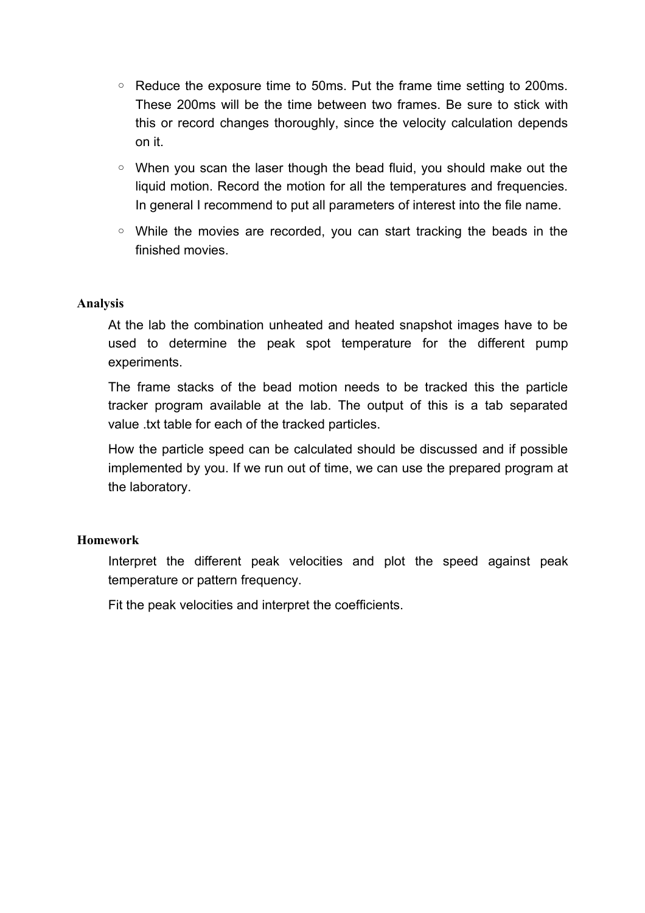- Reduce the exposure time to 50ms. Put the frame time setting to 200ms. These 200ms will be the time between two frames. Be sure to stick with this or record changes thoroughly, since the velocity calculation depends on it.
- When you scan the laser though the bead fluid, you should make out the liquid motion. Record the motion for all the temperatures and frequencies. In general I recommend to put all parameters of interest into the file name.
- While the movies are recorded, you can start tracking the beads in the finished movies.

#### **Analysis**

At the lab the combination unheated and heated snapshot images have to be used to determine the peak spot temperature for the different pump experiments.

The frame stacks of the bead motion needs to be tracked this the particle tracker program available at the lab. The output of this is a tab separated value .txt table for each of the tracked particles.

How the particle speed can be calculated should be discussed and if possible implemented by you. If we run out of time, we can use the prepared program at the laboratory.

#### **Homework**

Interpret the different peak velocities and plot the speed against peak temperature or pattern frequency.

Fit the peak velocities and interpret the coefficients.